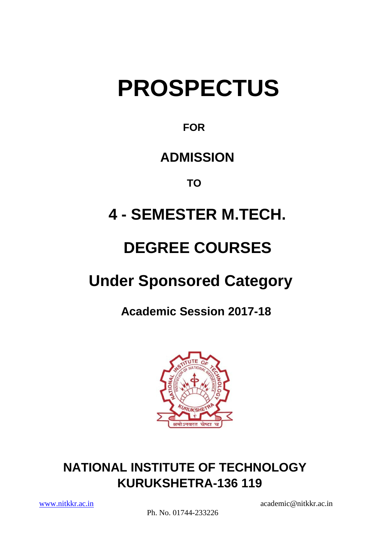# **PROSPECTUS**

### **FOR**

### **ADMISSION**

 **TO**

# **4 - SEMESTER M.TECH.**

# **DEGREE COURSES**

## **Under Sponsored Category**

 **Academic Session 2017-18**



### **NATIONAL INSTITUTE OF TECHNOLOGY KURUKSHETRA-136 119**

Ph. No. 01744-233226

[www.nitkkr.ac.in](http://www.nitkkr.ac.in/) academic@nitkkr.ac.in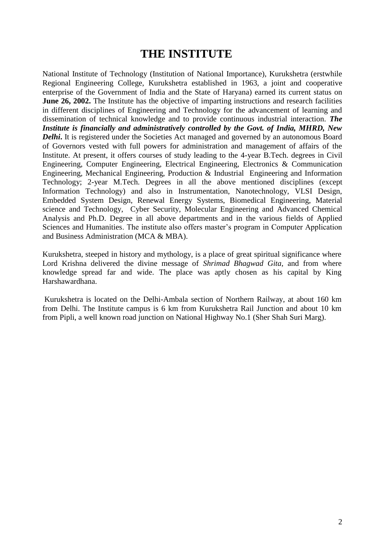#### **THE INSTITUTE**

National Institute of Technology (Institution of National Importance), Kurukshetra (erstwhile Regional Engineering College, Kurukshetra established in 1963, a joint and cooperative enterprise of the Government of India and the State of Haryana) earned its current status on **June 26, 2002.** The Institute has the objective of imparting instructions and research facilities in different disciplines of Engineering and Technology for the advancement of learning and dissemination of technical knowledge and to provide continuous industrial interaction. *The Institute is financially and administratively controlled by the Govt. of India, MHRD, New*  **Delhi**. It is registered under the Societies Act managed and governed by an autonomous Board of Governors vested with full powers for administration and management of affairs of the Institute. At present, it offers courses of study leading to the 4-year B.Tech. degrees in Civil Engineering, Computer Engineering, Electrical Engineering, Electronics & Communication Engineering, Mechanical Engineering, Production & Industrial Engineering and Information Technology; 2-year M.Tech. Degrees in all the above mentioned disciplines (except Information Technology) and also in Instrumentation, Nanotechnology, VLSI Design, Embedded System Design, Renewal Energy Systems, Biomedical Engineering, Material science and Technology, Cyber Security, Molecular Engineering and Advanced Chemical Analysis and Ph.D. Degree in all above departments and in the various fields of Applied Sciences and Humanities. The institute also offers master's program in Computer Application and Business Administration (MCA & MBA).

Kurukshetra, steeped in history and mythology, is a place of great spiritual significance where Lord Krishna delivered the divine message of *Shrimad Bhagwad Gita*, and from where knowledge spread far and wide. The place was aptly chosen as his capital by King Harshawardhana.

Kurukshetra is located on the Delhi-Ambala section of Northern Railway, at about 160 km from Delhi. The Institute campus is 6 km from Kurukshetra Rail Junction and about 10 km from Pipli, a well known road junction on National Highway No.1 (Sher Shah Suri Marg).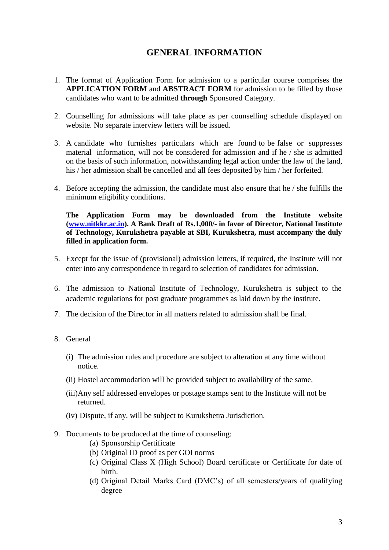#### **GENERAL INFORMATION**

- 1. The format of Application Form for admission to a particular course comprises the **APPLICATION FORM** and **ABSTRACT FORM** for admission to be filled by those candidates who want to be admitted **through** Sponsored Category.
- 2. Counselling for admissions will take place as per counselling schedule displayed on website. No separate interview letters will be issued.
- 3. A candidate who furnishes particulars which are found to be false or suppresses material information, will not be considered for admission and if he  $/$  she is admitted on the basis of such information, notwithstanding legal action under the law of the land, his / her admission shall be cancelled and all fees deposited by him / her forfeited.
- 4. Before accepting the admission, the candidate must also ensure that he / she fulfills the minimum eligibility conditions.

**The Application Form may be downloaded from the Institute website (www.nitkkr.ac.in). A Bank Draft of Rs.1,000/- in favor of Director, National Institute of Technology, Kurukshetra payable at SBI, Kurukshetra, must accompany the duly filled in application form.**

- 5. Except for the issue of (provisional) admission letters, if required, the Institute will not enter into any correspondence in regard to selection of candidates for admission.
- 6. The admission to National Institute of Technology, Kurukshetra is subject to the academic regulations for post graduate programmes as laid down by the institute.
- 7. The decision of the Director in all matters related to admission shall be final.
- 8. General
	- (i) The admission rules and procedure are subject to alteration at any time without notice.
	- (ii) Hostel accommodation will be provided subject to availability of the same.
	- (iii)Any self addressed envelopes or postage stamps sent to the Institute will not be returned.
	- (iv) Dispute, if any, will be subject to Kurukshetra Jurisdiction.
- 9. Documents to be produced at the time of counseling:
	- (a) Sponsorship Certificate
	- (b) Original ID proof as per GOI norms
	- (c) Original Class X (High School) Board certificate or Certificate for date of birth.
	- (d) Original Detail Marks Card (DMC's) of all semesters/years of qualifying degree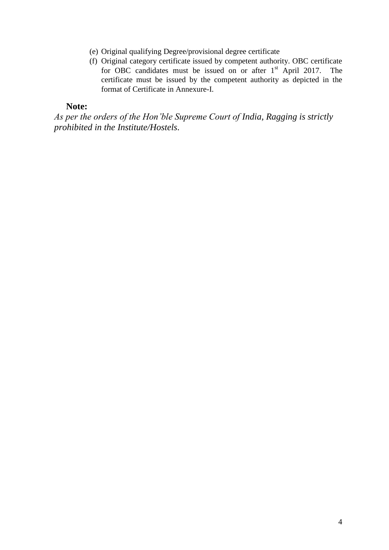- (e) Original qualifying Degree/provisional degree certificate
- (f) Original category certificate issued by competent authority. OBC certificate for OBC candidates must be issued on or after 1<sup>st</sup> April 2017. The certificate must be issued by the competent authority as depicted in the format of Certificate in Annexure-I.

#### **Note:**

*As per the orders of the Hon'ble Supreme Court of India, Ragging is strictly prohibited in the Institute/Hostels.*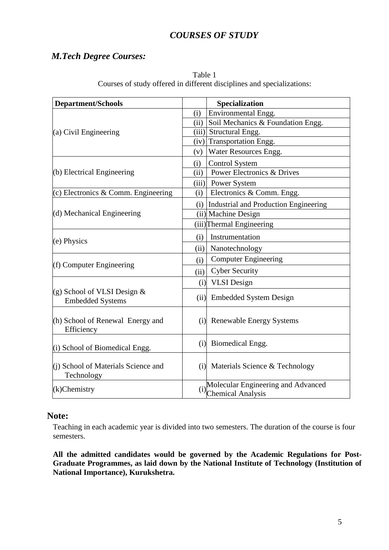#### *COURSES OF STUDY*

#### *M.Tech Degree Courses:*

| <b>Department/Schools</b>                                 |      | Specialization                                                 |
|-----------------------------------------------------------|------|----------------------------------------------------------------|
|                                                           | (i)  | Environmental Engg.                                            |
|                                                           |      | (ii) Soil Mechanics & Foundation Engg.                         |
| (a) Civil Engineering                                     |      | (iii) Structural Engg.                                         |
|                                                           |      | $(iv)$ Transportation Engg.                                    |
|                                                           |      | (v) Water Resources Engg.                                      |
|                                                           | (i)  | <b>Control System</b>                                          |
| (b) Electrical Engineering                                | (ii) | <b>Power Electronics &amp; Drives</b>                          |
|                                                           |      | (iii) Power System                                             |
| (c) Electronics & Comm. Engineering                       | (i)  | Electronics & Comm. Engg.                                      |
|                                                           |      | (i) Industrial and Production Engineering                      |
| (d) Mechanical Engineering                                |      | (ii) Machine Design                                            |
|                                                           |      | (iii) Thermal Engineering                                      |
| (e) Physics                                               | (i)  | Instrumentation                                                |
|                                                           | (ii) | Nanotechnology                                                 |
|                                                           | (i)  | <b>Computer Engineering</b>                                    |
| (f) Computer Engineering                                  | (ii) | <b>Cyber Security</b>                                          |
|                                                           | (i)  | <b>VLSI</b> Design                                             |
| (g) School of VLSI Design $\&$<br><b>Embedded Systems</b> |      | (ii) Embedded System Design                                    |
| (h) School of Renewal Energy and<br>Efficiency            |      | (i) Renewable Energy Systems                                   |
| (i) School of Biomedical Engg.                            |      | (i) Biomedical Engg.                                           |
| (i) School of Materials Science and<br>Technology         |      | (i) Materials Science & Technology                             |
| $(k)$ Chemistry                                           | (i)  | Molecular Engineering and Advanced<br><b>Chemical Analysis</b> |

Table 1 Courses of study offered in different disciplines and specializations:

#### **Note:**

 Teaching in each academic year is divided into two semesters. The duration of the course is four semesters.

**All the admitted candidates would be governed by the Academic Regulations for Post-Graduate Programmes, as laid down by the National Institute of Technology (Institution of National Importance), Kurukshetra.**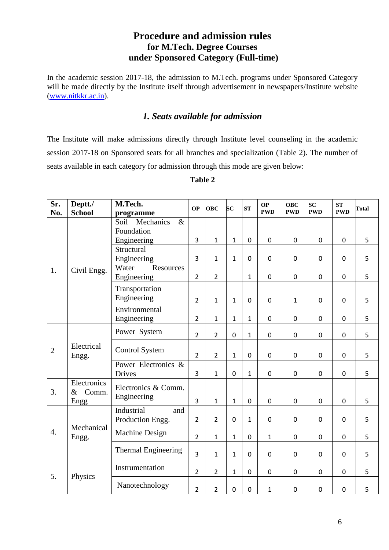#### **Procedure and admission rules for M.Tech. Degree Courses under Sponsored Category (Full-time)**

In the academic session 2017-18, the admission to M.Tech. programs under Sponsored Category will be made directly by the Institute itself through advertisement in newspapers/Institute website [\(www.nitkkr.ac.in\)](http://www.nitkkr.ac.in/).

#### *1. Seats available for admission*

The Institute will make admissions directly through Institute level counseling in the academic session 2017-18 on Sponsored seats for all branches and specialization (Table 2). The number of seats available in each category for admission through this mode are given below:

| Sr.            | Deptt./       | M.Tech.                    | <b>OP</b>      | <b>OBC</b>     | $\overline{\mathbf{S}}\mathbf{C}$ | ST               | <b>OP</b>        | <b>OBC</b>   | $\overline{\mathbf{S}}\mathbf{C}$ | <b>ST</b>        | <b>Total</b> |
|----------------|---------------|----------------------------|----------------|----------------|-----------------------------------|------------------|------------------|--------------|-----------------------------------|------------------|--------------|
| No.            | <b>School</b> | programme                  |                |                |                                   |                  | <b>PWD</b>       | <b>PWD</b>   | <b>PWD</b>                        | <b>PWD</b>       |              |
|                |               | Mechanics<br>$\&$<br>Soil  |                |                |                                   |                  |                  |              |                                   |                  |              |
|                |               | Foundation                 |                |                |                                   |                  |                  |              |                                   |                  |              |
|                |               | Engineering                | $\overline{3}$ | $\mathbf{1}$   | $\mathbf 1$                       | $\mathbf 0$      | $\mathbf 0$      | $\mathbf 0$  | $\mathbf 0$                       | $\mathbf 0$      | 5            |
|                |               | Structural                 |                |                |                                   |                  |                  |              |                                   |                  |              |
|                |               | Engineering                | $\overline{3}$ | $\mathbf{1}$   | $\mathbf{1}$                      | $\overline{0}$   | $\mathbf 0$      | $\pmb{0}$    | $\mathbf 0$                       | $\mathbf 0$      | 5            |
| 1.             | Civil Engg.   | Water<br>Resources         |                |                |                                   |                  |                  |              |                                   |                  |              |
|                |               | Engineering                | $\overline{2}$ | $\overline{2}$ |                                   | $\mathbf{1}$     | $\mathbf 0$      | $\mathbf 0$  | $\mathbf 0$                       | 0                | 5            |
|                |               | Transportation             |                |                |                                   |                  |                  |              |                                   |                  |              |
|                |               | Engineering                | $\overline{2}$ | $\mathbf{1}$   | $\mathbf{1}$                      | $\mathbf 0$      | $\mathbf 0$      | $\mathbf{1}$ | $\mathbf 0$                       | $\mathbf 0$      | 5            |
|                |               | Environmental              |                |                |                                   |                  |                  |              |                                   |                  |              |
|                |               | Engineering                | $\overline{2}$ | $\mathbf{1}$   | $\mathbf 1$                       | $\mathbf{1}$     | $\pmb{0}$        | $\pmb{0}$    | $\mathbf 0$                       | $\mathbf 0$      | 5            |
|                |               |                            |                |                |                                   |                  |                  |              |                                   |                  |              |
|                |               | Power System               | $\overline{2}$ | $\overline{2}$ | $\mathbf 0$                       | $\mathbf{1}$     | $\pmb{0}$        | $\pmb{0}$    | $\pmb{0}$                         | $\boldsymbol{0}$ | 5            |
|                | Electrical    |                            |                |                |                                   |                  |                  |              |                                   |                  |              |
| $\overline{2}$ | Engg.         | <b>Control System</b>      | $\overline{2}$ | $\overline{2}$ | $\mathbf{1}$                      | $\mathbf 0$      | $\mathbf 0$      | $\mathbf 0$  | $\mathbf 0$                       | 0                | 5            |
|                |               | Power Electronics &        |                |                |                                   |                  |                  |              |                                   |                  |              |
|                |               | <b>Drives</b>              | 3              | $\mathbf{1}$   | $\mathbf 0$                       | $\mathbf{1}$     | $\pmb{0}$        | $\mathbf 0$  | $\mathbf 0$                       | $\mathbf 0$      | 5            |
|                | Electronics   | Electronics & Comm.        |                |                |                                   |                  |                  |              |                                   |                  |              |
| 3.             | Comm.<br>$\&$ | Engineering                |                |                |                                   |                  |                  |              |                                   |                  |              |
|                | Engg          |                            | 3              | $\mathbf{1}$   | $\mathbf 1$                       | $\mathbf 0$      | $\mathbf 0$      | $\mathbf 0$  | $\mathbf 0$                       | $\mathbf 0$      | 5            |
|                |               | Industrial<br>and          |                |                |                                   |                  |                  |              |                                   |                  |              |
|                |               | Production Engg.           | $\overline{2}$ | $\overline{2}$ | $\mathbf 0$                       | $\mathbf{1}$     | $\mathbf 0$      | $\pmb{0}$    | $\mathbf 0$                       | 0                | 5            |
| 4.             | Mechanical    | Machine Design             | $\overline{2}$ | $\mathbf{1}$   | $\mathbf 1$                       | $\mathbf 0$      |                  |              |                                   |                  |              |
|                | Engg.         |                            |                |                |                                   |                  | $\mathbf{1}$     | $\pmb{0}$    | $\pmb{0}$                         | $\boldsymbol{0}$ | 5            |
|                |               | <b>Thermal Engineering</b> | $\overline{3}$ | $\mathbf{1}$   | $\mathbf 1$                       | $\mathbf 0$      | $\pmb{0}$        | $\pmb{0}$    | $\mathbf 0$                       | $\mathbf 0$      | 5            |
|                |               |                            |                |                |                                   |                  |                  |              |                                   |                  |              |
| 5.             | Physics       | Instrumentation            | $\overline{2}$ | $\overline{2}$ | $\mathbf 1$                       | $\pmb{0}$        | $\boldsymbol{0}$ | $\pmb{0}$    | $\pmb{0}$                         | 0                | 5            |
|                |               | Nanotechnology             | $\overline{2}$ | $\overline{2}$ | $\mathbf 0$                       | $\boldsymbol{0}$ | $\mathbf{1}$     | $\pmb{0}$    | $\pmb{0}$                         | $\boldsymbol{0}$ | 5            |

#### **Table 2**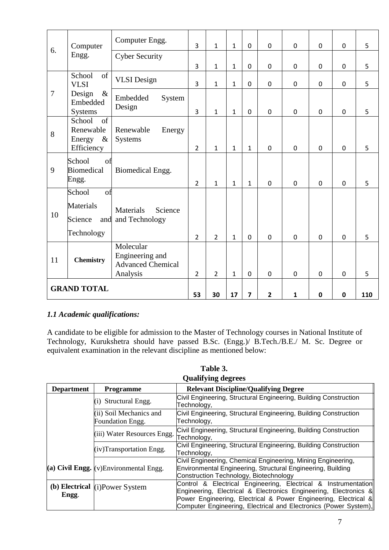| 6.                 | Computer                                                  | Computer Engg.                                                       | $\overline{3}$ | $\mathbf{1}$   | $\mathbf{1}$   | $\mathbf 0$    | $\mathbf 0$  | $\mathbf 0$ | $\mathbf 0$    | $\mathbf 0$ | 5 |
|--------------------|-----------------------------------------------------------|----------------------------------------------------------------------|----------------|----------------|----------------|----------------|--------------|-------------|----------------|-------------|---|
|                    | Engg.                                                     | <b>Cyber Security</b>                                                |                |                |                |                |              |             |                |             |   |
|                    |                                                           |                                                                      | 3              | $\mathbf{1}$   | $\mathbf{1}$   | $\overline{0}$ | $\mathbf 0$  | $\mathbf 0$ | $\mathbf 0$    | $\mathbf 0$ | 5 |
|                    | School<br>of<br><b>VLSI</b>                               | <b>VLSI</b> Design                                                   | $\overline{3}$ | $\mathbf{1}$   | $\mathbf{1}$   | $\mathbf 0$    | $\mathbf 0$  | $\mathbf 0$ | $\mathbf 0$    | $\mathbf 0$ | 5 |
| $\overline{7}$     | Design<br>$\&$<br>Embedded<br><b>Systems</b>              | Embedded<br>System<br>Design                                         | $\overline{3}$ | $\mathbf{1}$   | $\mathbf{1}$   | $\mathbf 0$    | $\mathbf 0$  | $\mathbf 0$ | $\mathbf 0$    | $\mathbf 0$ | 5 |
| 8                  | School<br>of<br>Renewable<br>Energy<br>$\&$<br>Efficiency | Renewable<br>Energy<br>Systems                                       | $\overline{2}$ | $\mathbf{1}$   | $\mathbf{1}$   | $\mathbf{1}$   | $\mathbf 0$  | $\mathbf 0$ | $\overline{0}$ | $\mathbf 0$ | 5 |
| 9                  | School<br>of<br><b>Biomedical</b><br>Engg.                | Biomedical Engg.                                                     | $\overline{2}$ | $\mathbf{1}$   | $\mathbf{1}$   | $\mathbf{1}$   | $\mathbf 0$  | $\mathbf 0$ | $\overline{0}$ | $\Omega$    | 5 |
| 10                 | School<br>of<br><b>Materials</b><br>Science<br>Technology | Materials<br>Science<br>and and Technology                           | $\overline{2}$ | $\overline{2}$ | $\mathbf{1}$   | $\mathbf 0$    | $\mathbf 0$  | $\mathbf 0$ | $\mathbf 0$    | $\mathbf 0$ | 5 |
| 11                 | <b>Chemistry</b>                                          | Molecular<br>Engineering and<br><b>Advanced Chemical</b><br>Analysis | $\overline{2}$ | $\overline{2}$ | $\mathbf{1}$   | $\mathbf 0$    | $\mathbf 0$  | $\mathbf 0$ | $\mathbf 0$    | $\mathbf 0$ | 5 |
| <b>GRAND TOTAL</b> |                                                           | 53                                                                   | 30             | 17             | $\overline{7}$ | $\overline{2}$ | $\mathbf{1}$ | $\mathbf 0$ | $\mathbf 0$    | 110         |   |

#### *1.1 Academic qualifications:*

A candidate to be eligible for admission to the Master of Technology courses in National Institute of Technology, Kurukshetra should have passed B.Sc. (Engg.)/ B.Tech./B.E./ M. Sc. Degree or equivalent examination in the relevant discipline as mentioned below:

| Vuuni ying uvgi cos |                                             |                                                                                                                                                                                                       |  |  |  |
|---------------------|---------------------------------------------|-------------------------------------------------------------------------------------------------------------------------------------------------------------------------------------------------------|--|--|--|
| <b>Department</b>   | <b>Programme</b>                            | <b>Relevant Discipline/Qualifying Degree</b>                                                                                                                                                          |  |  |  |
|                     | (i) Structural Engg.                        | Civil Engineering, Structural Engineering, Building Construction<br>Technology,                                                                                                                       |  |  |  |
|                     | (ii) Soil Mechanics and<br>Foundation Engg. | Civil Engineering, Structural Engineering, Building Construction<br>Technology,                                                                                                                       |  |  |  |
|                     | (iii) Water Resources Engg.                 | Civil Engineering, Structural Engineering, Building Construction<br>Technology,                                                                                                                       |  |  |  |
|                     | (iv)Transportation Engg.                    | Civil Engineering, Structural Engineering, Building Construction<br>Technology,                                                                                                                       |  |  |  |
|                     | (a) Civil Engg. $(v)$ Environmental Engg.   | Civil Engineering, Chemical Engineering, Mining Engineering,<br>Environmental Engineering, Structural Engineering, Building<br>Construction Technology, Biotechnology                                 |  |  |  |
| Engg.               | (b) Electrical $(i)$ Power System           | Control & Electrical Engineering, Electrical & Instrumentation<br>Engineering, Electrical & Electronics Engineering, Electronics &<br>Power Engineering, Electrical & Power Engineering, Electrical & |  |  |  |
|                     |                                             | Computer Engineering, Electrical and Electronics (Power System),                                                                                                                                      |  |  |  |

| Table 3.                  |
|---------------------------|
| <b>Oualifying degrees</b> |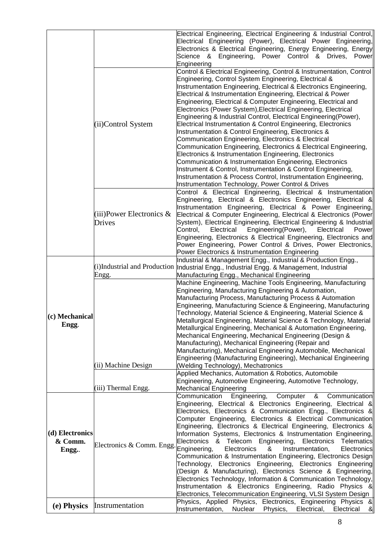|                 |                              | Electrical Engineering, Electrical Engineering & Industrial Control,                                                             |
|-----------------|------------------------------|----------------------------------------------------------------------------------------------------------------------------------|
|                 |                              | Electrical Engineering (Power), Electrical Power Engineering,                                                                    |
|                 |                              | Electronics & Electrical Engineering, Energy Engineering, Energy                                                                 |
|                 |                              | Science & Engineering, Power Control & Drives, Power                                                                             |
|                 |                              | Engineering                                                                                                                      |
|                 |                              | Control & Electrical Engineering, Control & Instrumentation, Control                                                             |
|                 |                              | Engineering, Control System Engineering, Electrical &                                                                            |
|                 |                              | Instrumentation Engineering, Electrical & Electronics Engineering,                                                               |
|                 |                              | Electrical & Instrumentation Engineering, Electrical & Power                                                                     |
|                 |                              | Engineering, Electrical & Computer Engineering, Electrical and                                                                   |
|                 |                              | Electronics (Power System), Electrical Engineering, Electrical                                                                   |
|                 |                              | Engineering & Industrial Control, Electrical Engineering (Power),                                                                |
|                 | (ii)Control System           | Electrical Instrumentation & Control Engineering, Electronics                                                                    |
|                 |                              | Instrumentation & Control Engineering, Electronics &                                                                             |
|                 |                              | Communication Engineering, Electronics & Electrical                                                                              |
|                 |                              | Communication Engineering, Electronics & Electrical Engineering,                                                                 |
|                 |                              | Electronics & Instrumentation Engineering, Electronics                                                                           |
|                 |                              | Communication & Instrumentation Engineering, Electronics                                                                         |
|                 |                              | Instrument & Control, Instrumentation & Control Engineering,                                                                     |
|                 |                              | Instrumentation & Process Control, Instrumentation Engineering,                                                                  |
|                 |                              | Instrumentation Technology, Power Control & Drives                                                                               |
|                 |                              | Control & Electrical Engineering, Electrical & Instrumentation                                                                   |
|                 |                              | Engineering, Electrical & Electronics Engineering, Electrical &                                                                  |
|                 |                              | Instrumentation Engineering, Electrical & Power Engineering,                                                                     |
|                 | (iii)Power Electronics $\&$  | Electrical & Computer Engineering, Electrical & Electronics (Power                                                               |
|                 | Drives                       | System), Electrical Engineering, Electrical Engineering & Industrial                                                             |
|                 |                              | Engineering(Power),<br>Electrical<br>Control,<br>Electrical<br>Power                                                             |
|                 |                              | Engineering, Electronics & Electrical Engineering, Electronics and                                                               |
|                 |                              | Power Engineering, Power Control & Drives, Power Electronics,                                                                    |
|                 |                              | Power Electronics & Instrumentation Engineering                                                                                  |
|                 |                              | Industrial & Management Engg., Industrial & Production Engg.,                                                                    |
|                 | (i)Industrial and Production | Industrial Engg., Industrial Engg. & Management, Industrial                                                                      |
|                 | Engg.                        | Manufacturing Engg., Mechanical Engineering                                                                                      |
|                 |                              | Machine Engineering, Machine Tools Engineering, Manufacturing                                                                    |
|                 |                              | Engineering, Manufacturing Engineering & Automation,                                                                             |
|                 |                              | Manufacturing Process, Manufacturing Process & Automation                                                                        |
|                 |                              | Engineering, Manufacturing Science & Engineering, Manufacturing                                                                  |
| (c) Mechanical  |                              | Technology, Material Science & Engineering, Material Science &                                                                   |
| Engg.           |                              | Metallurgical Engineering, Material Science & Technology, Material                                                               |
|                 |                              | Metallurgical Engineering, Mechanical & Automation Engineering,                                                                  |
|                 |                              | Mechanical Engineering, Mechanical Engineering (Design &                                                                         |
|                 |                              | Manufacturing), Mechanical Engineering (Repair and                                                                               |
|                 |                              | Manufacturing), Mechanical Engineering Automobile, Mechanical<br>Engineering (Manufacturing Engineering), Mechanical Engineering |
|                 | (ii) Machine Design          | (Welding Technology), Mechatronics                                                                                               |
|                 |                              | Applied Mechanics, Automation & Robotics, Automobile                                                                             |
|                 |                              | Engineering, Automotive Engineering, Automotive Technology,                                                                      |
|                 | (iii) Thermal Engg.          | Mechanical Engineering                                                                                                           |
|                 |                              | Communication<br>Engineering,<br>Communication<br>Computer<br>&                                                                  |
|                 |                              | Engineering, Electrical & Electronics Engineering, Electrical &                                                                  |
|                 |                              | Electronics, Electronics & Communication Engg., Electronics &                                                                    |
|                 |                              | Computer Engineering, Electronics & Electrical Communication                                                                     |
|                 |                              | Engineering, Electronics & Electrical Engineering, Electronics &                                                                 |
| (d) Electronics |                              | Information Systems, Electronics & Instrumentation Engineering,                                                                  |
| & Comm.         |                              | Electronics & Telecom Engineering, Electronics<br>Telematics                                                                     |
| Engg.           | Electronics & Comm. Engg.    | Engineering,<br>Electronics<br>&<br>Instrumentation,<br><b>Electronics</b>                                                       |
|                 |                              | Communication & Instrumentation Engineering, Electronics Design                                                                  |
|                 |                              | Technology, Electronics Engineering, Electronics Engineering                                                                     |
|                 |                              | (Design & Manufacturing), Electronics Science & Engineering,                                                                     |
|                 |                              | Electronics Technology, Information & Communication Technology,                                                                  |
|                 |                              | Instrumentation & Electronics Engineering, Radio Physics &                                                                       |
|                 |                              | Electronics, Telecommunication Engineering, VLSI System Design                                                                   |
| (e) Physics     | Instrumentation              | Physics, Applied Physics, Electronics, Engineering Physics &                                                                     |
|                 |                              | Instrumentation,<br>Nuclear<br>Physics,<br>Electrical,<br>ଝା<br>Electrical                                                       |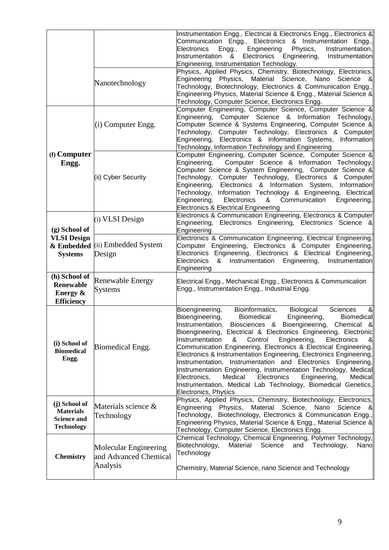|                                                                              |                                                            | Instrumentation Engg., Electrical & Electronics Engg., Electronics &<br>Communication Engg., Electronics & Instrumentation Engg.,<br>Instrumentation,<br>Electronics<br>Engineering<br>Physics,<br>Engg.,<br>Electronics<br>Engineering,<br>Instrumentation<br>Instrumentation<br>&<br>Engineering, Instrumentation Technology.<br>Physics, Applied Physics, Chemistry, Biotechnology, Electronics,                                                                                                                                                                                                                                                                                                                                                                                                                                  |  |  |  |  |  |
|------------------------------------------------------------------------------|------------------------------------------------------------|--------------------------------------------------------------------------------------------------------------------------------------------------------------------------------------------------------------------------------------------------------------------------------------------------------------------------------------------------------------------------------------------------------------------------------------------------------------------------------------------------------------------------------------------------------------------------------------------------------------------------------------------------------------------------------------------------------------------------------------------------------------------------------------------------------------------------------------|--|--|--|--|--|
|                                                                              | Nanotechnology                                             | Physics, Material Science, Nano Science &<br>Engineering<br>Technology, Biotechnology, Electronics & Communication Engg.,<br>Engineering Physics, Material Science & Engg., Material Science &<br>Technology, Computer Science, Electronics Engg.                                                                                                                                                                                                                                                                                                                                                                                                                                                                                                                                                                                    |  |  |  |  |  |
|                                                                              | (i) Computer Engg.                                         | Computer Engineering, Computer Science, Computer Science &<br>Engineering, Computer Science & Information Technology,<br>Computer Science & Systems Engineering, Computer Science &<br>Technology, Computer Technology, Electronics & Computer<br>Engineering, Electronics & Information Systems,<br>Information<br>Technology, Information Technology and Engineering                                                                                                                                                                                                                                                                                                                                                                                                                                                               |  |  |  |  |  |
| (f) Computer<br>Engg.                                                        | (ii) Cyber Security                                        | Computer Engineering, Computer Science, Computer Science &<br>Engineering,<br>Computer Science & Information Technology,<br>Computer Science & System Engineering, Computer Science &<br>Technology, Computer Technology, Electronics & Computer<br>Engineering, Electronics & Information System,<br>Information<br>Technology, Information Technology & Engineering, Electrical<br>Engineering,<br>Electronics<br>&<br>Communication<br>Engineering,<br><b>Electronics &amp; Electrical Engineering</b>                                                                                                                                                                                                                                                                                                                            |  |  |  |  |  |
| $(g)$ School of                                                              | (i) VLSI Design                                            | Electronics & Communication Engineering, Electronics & Computer<br>Engineering, Electronics Engineering, Electronics Science &<br>Engineering                                                                                                                                                                                                                                                                                                                                                                                                                                                                                                                                                                                                                                                                                        |  |  |  |  |  |
| <b>VLSI Design</b><br>& Embedded<br><b>Systems</b>                           | (ii) Embedded System<br>Design                             | Electronics & Communication Engineering, Electrical Engineering,<br>Computer Engineering, Electronics & Computer Engineering,<br>Electronics Engineering, Electronics & Electrical<br>Engineering,<br><b>Electronics</b><br>Instrumentation<br>Engineering,<br>Instrumentation<br>&<br>Engineering                                                                                                                                                                                                                                                                                                                                                                                                                                                                                                                                   |  |  |  |  |  |
| (h) School of<br><b>Renewable</b><br>Energy &<br><b>Efficiency</b>           | Renewable Energy<br>Systems                                | Electrical Engg., Mechanical Engg., Electronics & Communication<br>Engg., Instrumentation Engg., Industrial Engg.                                                                                                                                                                                                                                                                                                                                                                                                                                                                                                                                                                                                                                                                                                                    |  |  |  |  |  |
| (i) School of<br><b>Biomedical</b><br>Engg.                                  | Biomedical Engg.                                           | Sciences<br>Bioengineering,<br>Bioinformatics,<br>Biological<br>8 <sub>l</sub><br>Bioengineering,<br><b>Biomedical</b><br>Engineering,<br><b>Biomedical</b><br>Biosciences & Bioengineering, Chemical &<br>Instrumentation,<br>Bioengineering, Electrical & Electronics Engineering, Electronic<br>Instrumentation<br>Control<br>Engineering,<br>Electronics<br>&<br>8 <sub>l</sub><br>Communication Engineering, Electronics & Electrical Engineering,<br>Electronics & Instrumentation Engineering, Electronics Engineering,<br>Instrumentation and Electronics Engineering,<br>Instrumentation,<br>Instrumentation Engineering, Instrumentation Technology, Medical<br>Electronics,<br>Medical<br>Electronics<br>Engineering,<br>Medical<br>Instrumentation, Medical Lab Technology, Biomedical Genetics,<br>Electronics, Physics |  |  |  |  |  |
| (j) School of<br><b>Materials</b><br><b>Science and</b><br><b>Technology</b> | Materials science &<br>Technology                          | Physics, Applied Physics, Chemistry, Biotechnology, Electronics,<br>Material Science,<br>Engineering Physics,<br>Nano<br>Science &<br>Technology, Biotechnology, Electronics & Communication Engg.,<br>Engineering Physics, Material Science & Engg., Material Science &<br>Technology, Computer Science, Electronics Engg.                                                                                                                                                                                                                                                                                                                                                                                                                                                                                                          |  |  |  |  |  |
| <b>Chemistry</b>                                                             | Molecular Engineering<br>and Advanced Chemical<br>Analysis | Chemical Technology, Chemical Engineering, Polymer Technology,<br>Biotechnology,<br>Material<br>Science<br>Technology,<br>and<br>Nano<br>Technology<br>Chemistry, Material Science, nano Science and Technology                                                                                                                                                                                                                                                                                                                                                                                                                                                                                                                                                                                                                      |  |  |  |  |  |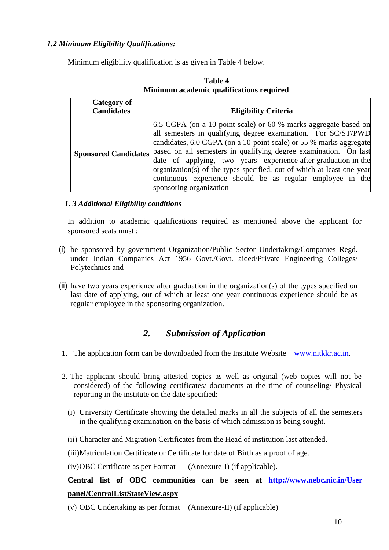#### *1.2 Minimum Eligibility Qualifications:*

Minimum eligibility qualification is as given in Table 4 below.

| <b>Category of</b>          |                                                                                                                                                                                                                                                                                                                                                                                                                                                                                                                 |
|-----------------------------|-----------------------------------------------------------------------------------------------------------------------------------------------------------------------------------------------------------------------------------------------------------------------------------------------------------------------------------------------------------------------------------------------------------------------------------------------------------------------------------------------------------------|
| <b>Candidates</b>           | <b>Eligibility Criteria</b>                                                                                                                                                                                                                                                                                                                                                                                                                                                                                     |
| <b>Sponsored Candidates</b> | 6.5 CGPA (on a 10-point scale) or 60 % marks aggregate based on<br>all semesters in qualifying degree examination. For SC/ST/PWD<br>candidates, 6.0 CGPA (on a 10-point scale) or 55 % marks aggregate<br>based on all semesters in qualifying degree examination. On last<br>date of applying, two years experience after graduation in the<br>organization(s) of the types specified, out of which at least one year<br>continuous experience should be as regular employee in the<br>sponsoring organization |

#### **Table 4 Minimum academic qualifications required**

#### *1. 3 Additional Eligibility conditions*

In addition to academic qualifications required as mentioned above the applicant for sponsored seats must :

- (i) be sponsored by government Organization/Public Sector Undertaking/Companies Regd. under Indian Companies Act 1956 Govt./Govt. aided/Private Engineering Colleges/ Polytechnics and
- (ii) have two years experience after graduation in the organization(s) of the types specified on last date of applying, out of which at least one year continuous experience should be as regular employee in the sponsoring organization.

#### *2. Submission of Application*

- 1. The application form can be downloaded from the Institute Website [www.nitkkr.ac.in.](http://www.nitkkr.ac.in/)
- 2. The applicant should bring attested copies as well as original (web copies will not be considered) of the following certificates/ documents at the time of counseling/ Physical reporting in the institute on the date specified:
	- (i) University Certificate showing the detailed marks in all the subjects of all the semesters in the qualifying examination on the basis of which admission is being sought.
	- (ii) Character and Migration Certificates from the Head of institution last attended.
	- (iii)Matriculation Certificate or Certificate for date of Birth as a proof of age.
	- (iv)OBC Certificate as per Format (Annexure-I) (if applicable).

#### **Central list of OBC communities can be seen at <http://www.nebc.nic.in/User> panel/CentralListStateView.aspx**

(v) OBC Undertaking as per format (Annexure-II) (if applicable)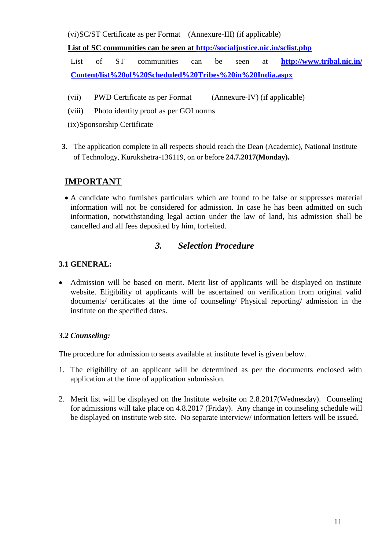(vi)SC/ST Certificate as per Format (Annexure-III) (if applicable)

#### **List of SC communities can be seen at<http://socialjustice.nic.in/sclist.php>**

List of ST communities can be seen at **http://www.tribal.nic.in/ [Content/list%20of%20Scheduled%20Tribes%20in%20India.aspx](http://www.tribal.nic.in/%20Content/list%20of%20Scheduled%20Tribes%20in%20India.aspx)**

- (vii) PWD Certificate as per Format (Annexure-IV) (if applicable)
- (viii) Photo identity proof as per GOI norms
- (ix)Sponsorship Certificate
- **3.** The application complete in all respects should reach the Dean (Academic), National Institute of Technology, Kurukshetra-136119, on or before **24.7.2017(Monday).**

#### **IMPORTANT**

 A candidate who furnishes particulars which are found to be false or suppresses material information will not be considered for admission. In case he has been admitted on such information, notwithstanding legal action under the law of land, his admission shall be cancelled and all fees deposited by him, forfeited.

#### *3. Selection Procedure*

#### **3.1 GENERAL:**

 Admission will be based on merit. Merit list of applicants will be displayed on institute website. Eligibility of applicants will be ascertained on verification from original valid documents/ certificates at the time of counseling/ Physical reporting/ admission in the institute on the specified dates.

#### *3.2 Counseling:*

The procedure for admission to seats available at institute level is given below.

- 1. The eligibility of an applicant will be determined as per the documents enclosed with application at the time of application submission.
- 2. Merit list will be displayed on the Institute website on 2.8.2017(Wednesday). Counseling for admissions will take place on 4.8.2017 (Friday). Any change in counseling schedule will be displayed on institute web site. No separate interview/ information letters will be issued.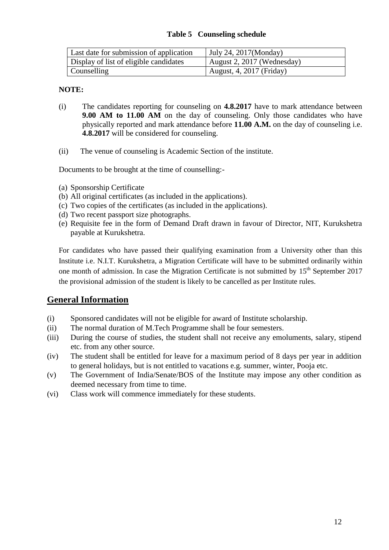#### **Table 5 Counseling schedule**

| Last date for submission of application | July 24, $2017$ (Monday)   |
|-----------------------------------------|----------------------------|
| Display of list of eligible candidates  | August 2, 2017 (Wednesday) |
| Counselling                             | August, 4, 2017 (Friday)   |

#### **NOTE:**

- (i) The candidates reporting for counseling on **4.8.2017** have to mark attendance between **9.00 AM to 11.00 AM** on the day of counseling. Only those candidates who have physically reported and mark attendance before **11.00 A.M.** on the day of counseling i.e. **4.8.2017** will be considered for counseling.
- (ii) The venue of counseling is Academic Section of the institute.

Documents to be brought at the time of counselling:-

- (a) Sponsorship Certificate
- (b) All original certificates (as included in the applications).
- (c) Two copies of the certificates (as included in the applications).
- (d) Two recent passport size photographs.
- (e) Requisite fee in the form of Demand Draft drawn in favour of Director, NIT, Kurukshetra payable at Kurukshetra.

For candidates who have passed their qualifying examination from a University other than this Institute i.e. N.I.T. Kurukshetra, a Migration Certificate will have to be submitted ordinarily within one month of admission. In case the Migration Certificate is not submitted by 15<sup>th</sup> September 2017 the provisional admission of the student is likely to be cancelled as per Institute rules.

#### **General Information**

- (i) Sponsored candidates will not be eligible for award of Institute scholarship.
- (ii) The normal duration of M.Tech Programme shall be four semesters.
- (iii) During the course of studies, the student shall not receive any emoluments, salary, stipend etc. from any other source.
- (iv) The student shall be entitled for leave for a maximum period of 8 days per year in addition to general holidays, but is not entitled to vacations e.g. summer, winter, Pooja etc.
- (v) The Government of India/Senate/BOS of the Institute may impose any other condition as deemed necessary from time to time.
- (vi) Class work will commence immediately for these students.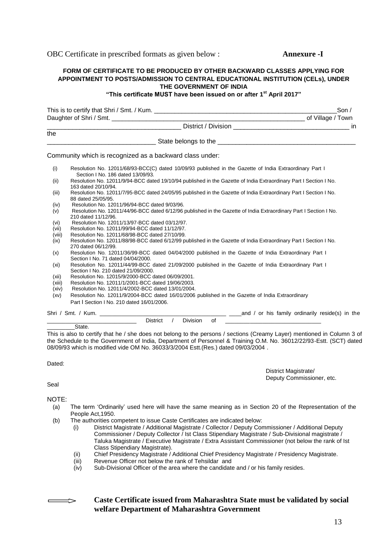OBC Certificate in prescribed formats as given below : **Annexure -I**

#### **FORM OF CERTIFICATE TO BE PRODUCED BY OTHER BACKWARD CLASSES APPLYING FOR APPOINTMENT TO POSTS/ADMISSION TO CENTRAL EDUCATIONAL INSTITUTION (CELs), UNDER THE GOVERNMENT OF INDIA**

#### **"This certificate MUST have been issued on or after 1st April 2017"**

|        | Son /                                                                                                                                         |
|--------|-----------------------------------------------------------------------------------------------------------------------------------------------|
|        |                                                                                                                                               |
|        |                                                                                                                                               |
| the    |                                                                                                                                               |
|        |                                                                                                                                               |
|        | Community which is recognized as a backward class under:                                                                                      |
| (i)    | Resolution No. 12011/68/93-BCC(C) dated 10/09/93 published in the Gazette of India Extraordinary Part I<br>Section I No. 186 dated 13/09/93.  |
| (ii)   | Resolution No. 12011/9/94-BCC dated 19/10/94 published in the Gazette of India Extraordinary Part I Section I No.<br>163 dated 20/10/94.      |
| (iii)  | Resolution No. 12011/7/95-BCC dated 24/05/95 published in the Gazette of India Extraordinary Part I Section I No.<br>88 dated 25/05/95.       |
| (iv)   | Resolution No. 12011/96/94-BCC dated 9/03/96.                                                                                                 |
| (v)    | Resolution No. 12011/44/96-BCC dated 6/12/96 published in the Gazette of India Extraordinary Part I Section I No.<br>210 dated 11/12/96.      |
| (vi)   | Resolution No. 12011/13/97-BCC dated 03/12/97.                                                                                                |
| (vii)  | Resolution No. 12011/99/94-BCC dated 11/12/97.                                                                                                |
| (viii) | Resolution No. 12011/68/98-BCC dated 27/10/99.                                                                                                |
| (ix)   | Resolution No. 12011/88/98-BCC dated 6/12/99 published in the Gazette of India Extraordinary Part I Section I No.<br>270 dated 06/12/99.      |
| (x)    | Resolution No. 12011/36/99-BCC dated 04/04/2000 published in the Gazette of India Extraordinary Part I<br>Section I No. 71 dated 04/04/2000.  |
| (xi)   | Resolution No. 12011/44/99-BCC dated 21/09/2000 published in the Gazette of India Extraordinary Part I<br>Section I No. 210 dated 21/09/2000. |
| (xii)  | Resolution No. 12015/9/2000-BCC dated 06/09/2001.                                                                                             |
| (xiii) | Resolution No. 12011/1/2001-BCC dated 19/06/2003.                                                                                             |
| (xiv)  | Resolution No. 12011/4/2002-BCC dated 13/01/2004.                                                                                             |
| (xv)   | Resolution No. 12011/9/2004-BCC dated 16/01/2006 published in the Gazette of India Extraordinary                                              |
|        | Part I Section I No. 210 dated 16/01/2006.                                                                                                    |
|        | and / or his family ordinarily reside(s) in the<br>Shri / Smt. / Kum.                                                                         |

\_\_\_\_\_\_\_\_\_\_\_\_\_\_\_\_\_\_\_\_\_\_\_\_\_\_\_\_\_ District / Division of \_\_\_\_\_\_\_\_\_\_\_\_\_\_\_\_\_\_\_\_\_\_\_\_\_\_\_\_\_\_\_ State.

This is also to certify that he / she does not belong to the persons / sections (Creamy Layer) mentioned in Column 3 of the Schedule to the Government of India, Department of Personnel & Training O.M. No. 36012/22/93-Estt. (SCT) dated 08/09/93 which is modified vide OM No. 36033/3/2004 Estt.(Res.) dated 09/03/2004 .

Dated:

District Magistrate/ Deputy Commissioner, etc.

Seal

NOTE:

 $\Longrightarrow$ 

- (a) The term 'Ordinarily' used here will have the same meaning as in Section 20 of the Representation of the People Act,1950.
- (b) The authorities competent to issue Caste Certificates are indicated below:
	- (i) District Magistrate / Additional Magistrate / Collector / Deputy Commissioner / Additional Deputy Commissioner / Deputy Collector / Ist Class Stipendiary Magistrate / Sub-Divisional magistrate / Taluka Magistrate / Executive Magistrate / Extra Assistant Commissioner (not below the rank of Ist Class Stipendiary Magistrate).
	- (ii) Chief Presidency Magistrate / Additional Chief Presidency Magistrate / Presidency Magistrate.
	- (iii) Revenue Officer not below the rank of Tehsildar and<br>(iv) Sub-Divisional Officer of the area where the candidate
	- Sub-Divisional Officer of the area where the candidate and / or his family resides.

#### **Caste Certificate issued from Maharashtra State must be validated by social welfare Department of Maharashtra Government**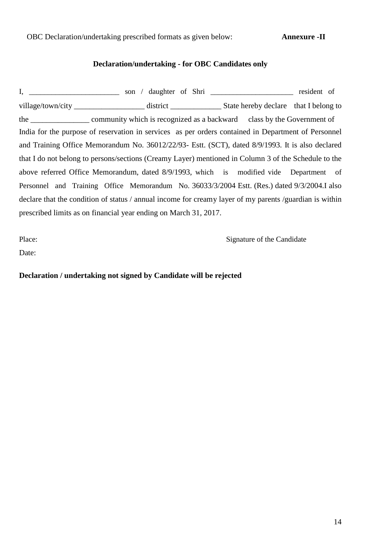OBC Declaration/undertaking prescribed formats as given below: **Annexure -II**

#### **Declaration/undertaking - for OBC Candidates only**

|                                                                                                         | son / daughter of Shri _________________________________ resident of |  |  |  |
|---------------------------------------------------------------------------------------------------------|----------------------------------------------------------------------|--|--|--|
|                                                                                                         |                                                                      |  |  |  |
|                                                                                                         |                                                                      |  |  |  |
| India for the purpose of reservation in services as per orders contained in Department of Personnel     |                                                                      |  |  |  |
| and Training Office Memorandum No. 36012/22/93- Estt. (SCT), dated 8/9/1993. It is also declared        |                                                                      |  |  |  |
| that I do not belong to persons/sections (Creamy Layer) mentioned in Column 3 of the Schedule to the    |                                                                      |  |  |  |
| above referred Office Memorandum, dated 8/9/1993, which is modified vide Department of                  |                                                                      |  |  |  |
| Personnel and Training Office Memorandum No. 36033/3/2004 Estt. (Res.) dated 9/3/2004. I also           |                                                                      |  |  |  |
| declare that the condition of status / annual income for creamy layer of my parents /guardian is within |                                                                      |  |  |  |
| prescribed limits as on financial year ending on March 31, 2017.                                        |                                                                      |  |  |  |

Place: Signature of the Candidate

Date:

**Declaration / undertaking not signed by Candidate will be rejected**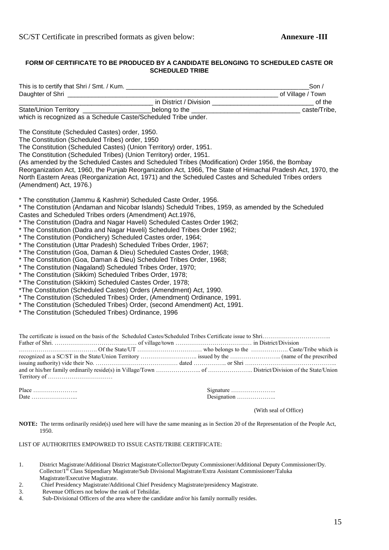#### **FORM OF CERTIFICATE TO BE PRODUCED BY A CANDIDATE BELONGING TO SCHEDULED CASTE OR SCHEDULED TRIBE**

| This is to certify that Shri / Smt. / Kum.                     |                        | Son $\prime$      |
|----------------------------------------------------------------|------------------------|-------------------|
| Daughter of Shri                                               |                        | of Village / Town |
|                                                                | in District / Division | of the            |
| State/Union Territory _____                                    | belong to the          | caste/Tribe.      |
| which is recognized as a Schedule Caste/Scheduled Tribe under. |                        |                   |

The Constitute (Scheduled Castes) order, 1950.

The Constitution (Scheduled Tribes) order, 1950

The Constitution (Scheduled Castes) (Union Territory) order, 1951.

The Constitution (Scheduled Tribes) (Union Territory) order, 1951.

(As amended by the Scheduled Castes and Scheduled Tribes (Modification) Order 1956, the Bombay Reorganization Act, 1960, the Punjab Reorganization Act, 1966, The State of Himachal Pradesh Act, 1970, the North Eastern Areas (Reorganization Act, 1971) and the Scheduled Castes and Scheduled Tribes orders (Amendment) Act, 1976.)

\* The constitution (Jammu & Kashmir) Scheduled Caste Order, 1956.

\* The Constitution (Andaman and Nicobar Islands) Scheduld Tribes, 1959, as amended by the Scheduled Castes and Scheduled Tribes orders (Amendment) Act.1976,

- \* The Constitution (Dadra and Nagar Haveli) Scheduled Castes Order 1962;
- \* The Constitution (Dadra and Nagar Haveli) Scheduled Tribes Order 1962;
- \* The Constitution (Pondichery) Scheduled Castes order, 1964;
- \* The Constitution (Uttar Pradesh) Scheduled Tribes Order, 1967;
- \* The Constitution (Goa, Daman & Dieu) Scheduled Castes Order, 1968;
- \* The Constitution (Goa, Daman & Dieu) Scheduled Tribes Order, 1968;
- \* The Constitution (Nagaland) Scheduled Tribes Order, 1970;
- \* The Constitution (Sikkim) Scheduled Tribes Order, 1978;
- \* The Constitution (Sikkim) Scheduled Castes Order, 1978;
- \*The Constitution (Scheduled Castes) Orders (Amendment) Act, 1990.
- \* The Constitution (Scheduled Tribes) Order, (Amendment) Ordinance, 1991.
- \* The Constitution (Scheduled Tribes) Order, (second Amendment) Act, 1991.
- \* The Constitution (Scheduled Tribes) Ordinance, 1996

Place …………………… Date ………………………

| Designation |  |  |  |  |  |  |  |  |  |
|-------------|--|--|--|--|--|--|--|--|--|

(With seal of Office)

**NOTE:** The terms ordinarily reside(s) used here will have the same meaning as in Section 20 of the Representation of the People Act, 1950.

LIST OF AUTHORITIES EMPOWRED TO ISSUE CASTE/TRIBE CERTIFICATE:

- 1. District Magistrate/Additional District Magistrate/Collector/Deputy Commissioner/Additional Deputy Commissioner/Dy. Collector/1st Class Stipendiary Magistrate/Sub Divisional Magistrate/Extra Assistant Commissioner/Taluka Magistrate/Executive Magistrate.
- 2. Chief Presidency Magistrate/Additional Chief Presidency Magistrate/presidency Magistrate.
- 3. Revenue Officers not below the rank of Tehsildar.
- 4. Sub-Divisional Officers of the area where the candidate and/or his family normally resides.